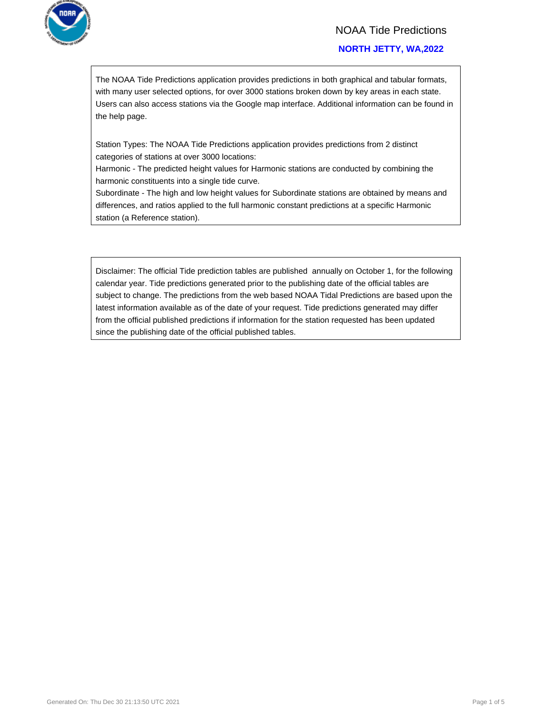

### NOAA Tide Predictions

### **NORTH JETTY, WA,2022**

The NOAA Tide Predictions application provides predictions in both graphical and tabular formats, with many user selected options, for over 3000 stations broken down by key areas in each state. Users can also access stations via the Google map interface. Additional information can be found in the help page.

Station Types: The NOAA Tide Predictions application provides predictions from 2 distinct categories of stations at over 3000 locations:

Harmonic - The predicted height values for Harmonic stations are conducted by combining the harmonic constituents into a single tide curve.

Subordinate - The high and low height values for Subordinate stations are obtained by means and differences, and ratios applied to the full harmonic constant predictions at a specific Harmonic station (a Reference station).

Disclaimer: The official Tide prediction tables are published annually on October 1, for the following calendar year. Tide predictions generated prior to the publishing date of the official tables are subject to change. The predictions from the web based NOAA Tidal Predictions are based upon the latest information available as of the date of your request. Tide predictions generated may differ from the official published predictions if information for the station requested has been updated since the publishing date of the official published tables.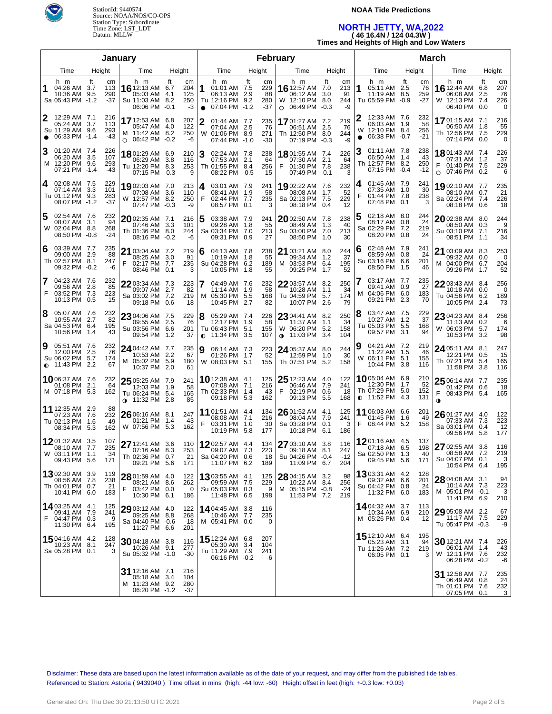

### **NOAA Tide Predictions**

### **NORTH JETTY, WA,2022 ( 46 16.4N / 124 04.3W )**

**Times and Heights of High and Low Waters**

|                                                                               |                                | January                                                                       |                                     |                |                                                                            |        | February                      |                                                                                |           |                              |                                                                                 |                                           |                                                                             |           |                             |
|-------------------------------------------------------------------------------|--------------------------------|-------------------------------------------------------------------------------|-------------------------------------|----------------|----------------------------------------------------------------------------|--------|-------------------------------|--------------------------------------------------------------------------------|-----------|------------------------------|---------------------------------------------------------------------------------|-------------------------------------------|-----------------------------------------------------------------------------|-----------|-----------------------------|
| Time                                                                          | Time                           | Height                                                                        |                                     | Time           |                                                                            | Height | Time                          | Height                                                                         |           | Time                         | Height                                                                          | Time                                      |                                                                             | Height    |                             |
| h m<br>04:26 AM 3.7<br>10:36 AM 9.5<br>Sa 05:43 PM -1.2                       | ft<br>cm<br>113<br>290<br>-37  | h m<br>16 12:13 AM 6.7<br>05:03 AM 4.1<br>Su 11:03 AM 8.2<br>06:06 PM -0.1    | ft<br>cm<br>204<br>125<br>250<br>-3 | 1<br>$\bullet$ | h m<br>01:01 AM 7.5<br>06:13 AM 2.9<br>Tu 12:16 PM 9.2<br>07:04 PM -1.2    | ft     | cm<br>229<br>88<br>280<br>-37 | h m<br><b>16</b> 12:57 AM 7.0<br>06:12 AM<br>W 12:10 PM 8.0<br>O 06:49 PM -0.3 | ft<br>3.0 | cm<br>213<br>91<br>244<br>-9 | h m<br>1<br>05:11 AM 2.5<br>11:19 AM 8.5<br>Tu 05:59 PM                         | ft<br>сm<br>76<br>259<br>$-27$<br>$-0.9$  | h m<br><b>16</b> 12:44 AM<br>06:08 AM 2.5<br>W 12:13 PM 7.4<br>06:40 PM 0.0 | ft<br>6.8 | cm<br>207<br>76<br>226<br>0 |
| 12:29 AM 7.1<br>05:24 AM 3.7<br>Su 11:29 AM 9.6<br>06:33 PM -1.4<br>$\bullet$ | 216<br>113<br>293<br>-43       | 17 12:53 AM 6.8<br>05:47 AM 4.0<br>M 11:42 AM 8.2<br>06:42 PM -0.2<br>$\circ$ | 207<br>122<br>250<br>-6             | 2              | 01:44 AM 7.7<br>07:04 AM 2.5<br>W 01:06 PM 8.9<br>07:44 PM -1.0            |        | 235<br>76<br>271<br>$-30$     | 17 01:27 AM 7.2<br>06:51 AM 2.5<br>Th 12:50 PM 8.0<br>07:19 PM -0.3            |           | 219<br>76<br>244<br>$-9$     | 12:33 AM 7.6<br>06:03 AM 1.9<br>12:10 PM 8.4<br>W<br>06:38 PM -0.7<br>$\bullet$ | 232<br>58<br>256<br>$-21$                 | <b>17</b> 01:15 AM 7.1<br>06:50 AM 1.8<br>Th 12:56 PM 7.5<br>07:14 PM 0.0   |           | 216<br>55<br>229<br>0       |
| 3<br>01:20 AM 7.4<br>06:20 AM 3.5<br>M 12:20 PM 9.6<br>07:21 PM -1.4          | 226<br>107<br>293<br>-43       | 18801:29 AM 6.9<br>06:29 AM 3.8<br>Tu 12:20 PM 8.3<br>07:15 PM -0.3           | 210<br>116<br>253<br>-9             | 3              | 02:24 AM 7.8<br>07:53 AM 2.1<br>Th 01:55 PM 8.4<br>08:22 PM -0.5           |        | 238<br>64<br>256<br>$-15$     | <b>18</b> 01:55 AM 7.4<br>07:30 AM 2.1<br>01:30 PM 7.8<br>07:49 PM -0.1        |           | 226<br>64<br>238<br>-3       | 01:11 AM 7.8<br>3<br>06:50 AM 1.4<br>Th 12:57 PM 8.2<br>07:15 PM -0.4           | 238<br>43<br>250<br>$-12$                 | 18 01:43 AM 7.4<br>07:31 AM 1.2<br>01:40 PM 7.5<br>$O$ 07:46 PM 0.2         |           | 226<br>37<br>229<br>6       |
| 02:08 AM 7.5<br>4<br>07:14 AM 3.3<br>Tu 01:12 PM 9.3<br>08:07 PM -1.2         | 229<br>101<br>283<br>$-37$     | 19 02:03 AM 7.0<br>07:08 AM 3.6<br>W 12:57 PM 8.2<br>07:47 PM -0.3            | 213<br>110<br>250<br>-9             | 4<br>F         | 03:01 AM 7.9<br>08:41 AM 1.9<br>02:44 PM 7.7<br>08:57 PM 0.1               |        | 241<br>58<br>235<br>3         | 1902:22 AM 7.6<br>08:08 AM 1.7<br>Sa 02:13 PM 7.5<br>08:18 PM 0.4              |           | 232<br>52<br>229<br>12       | 01:45 AM 7.9<br>4<br>07:35 AM<br>F<br>01:44 PM 7.8<br>07:48 PM                  | 241<br>30<br>1.0<br>238<br>0.1<br>3       | 1902:10 AM 7.7<br>08:10 AM 0.7<br>Sa 02:24 PM 7.4<br>08:18 PM 0.6           |           | 235<br>21<br>226<br>18      |
| 5<br>02:54 AM 7.6<br>08:07 AM 3.1<br>W 02:04 PM 8.8<br>08:50 PM -0.8          | 232<br>94<br>268<br>$-24$      | $2002:35$ AM 7.1<br>07:46 AM 3.3<br>Th 01:36 PM 8.0<br>08:16 PM -0.2          | 216<br>101<br>244<br>-6             | 5              | 03:38 AM 7.9<br>09:28 AM 1.8<br>Sa 03:34 PM 7.0<br>09:31 PM 0.9            |        | 241<br>55<br>213<br>27        | 2002:50 AM 7.8<br>08:49 AM 1.3<br>Su 03:00 PM 7.0<br>08:50 PM 1.0              |           | 238<br>40<br>213<br>30       | 02:18 AM 8.0<br>5<br>08:17 AM<br>Sa 02:29 PM 7.2<br>08:20 PM                    | 244<br>24<br>0.8<br>219<br>24<br>0.8      | 2002:38 AM 8.0<br>08:50 AM 0.3<br>Su 03:10 PM 7.1<br>08:51 PM 1.1           |           | 244<br>9<br>216<br>34       |
| 03:39 AM 7.7<br>6<br>09:00 AM 2.9<br>Th 02:57 PM 8.1<br>09:32 PM -0.2         | 235<br>88<br>247<br>-6         | 21 03:04 AM 7.2<br>08:25 AM 3.0<br>F<br>02:17 PM 7.7<br>08:46 PM 0.1          | 219<br>91<br>235<br>3               | 6              | 04:13 AM 7.8<br>10:19 AM 1.8<br>Su 04:28 PM 6.2<br>10:05 PM 1.8            |        | 238<br>55<br>189<br>55        | 21 03:21 AM 8.0<br>09:34 AM 1.2<br>M 03:53 PM 6.4<br>09:25 PM 1.7              |           | 244<br>37<br>195<br>52       | 02:48 AM 7.9<br>6<br>08:59 AM<br>Su 03:16 PM 6.6<br>08:50 PM                    | 241<br>24<br>0.8<br>201<br>1.5<br>46      | 21 03:09 AM 8.3<br>09:32 AM 0.0<br>M 04:00 PM 6.7<br>09:26 PM 1.7           |           | 253<br>0<br>204<br>52       |
| 7<br>04:23 AM 7.6<br>09:56 AM 2.8<br>F<br>03:52 PM 7.3<br>10:13 PM 0.5        | 232<br>85<br>223<br>15         | $2203:34$ AM 7.3<br>09:07 AM 2.7<br>Sa 03:02 PM 7.2<br>09:18 PM 0.6           | 223<br>82<br>219<br>18              | 7              | 04:49 AM 7.6<br>11:14 AM 1.9<br>M 05:30 PM 5.5<br>10:45 PM 2.7             |        | 232<br>58<br>168<br>82        | 22 03:57 AM 8.2<br>10:28 AM 1.1<br>Tu 04:59 PM 5.7<br>10:07 PM 2.6             |           | 250<br>34<br>174<br>79       | 03:17 AM 7.7<br>7<br>09:41 AM<br>04:06 PM 6.0<br>м<br>09:21 PM                  | 235<br>0.9<br>27<br>183<br>2.3<br>70      | 22 03:43 AM 8.4<br>10:18 AM 0.0<br>Tu 04:56 PM 6.2<br>10:05 PM 2.4          |           | 256<br>0<br>189<br>73       |
| 8<br>05:07 AM 7.6<br>10:55 AM 2.7<br>Sa 04:53 PM 6.4<br>10:56 PM              | 232<br>82<br>195<br>43<br>1.4  | 23 04:06 AM 7.5<br>09:55 AM 2.5<br>Su 03:56 PM 6.6<br>09:54 PM 1.2            | 229<br>76<br>201<br>37              | 8              | 05:29 AM 7.4<br>12:17 PM 1.9<br>Tu 06:43 PM 5.1<br>$\bullet$ 11:34 PM 3.5  |        | 226<br>58<br>155<br>107       | 23 04:41 AM 8.2<br>11:37 AM 1.1<br>W 06:20 PM 5.2<br>$\bullet$ 11:03 PM 3.4    |           | 250<br>34<br>158<br>104      | 03:47 AM 7.5<br>8<br>10:27 AM<br>Tu 05:03 PM 5.5<br>09:57 PM                    | 229<br>37<br>1.2<br>168<br>3.1<br>94      | 23 04:23 AM 8.4<br>11:13 AM 0.2<br>W 06:03 PM 5.7<br>10:53 PM 3.2           |           | 256<br>6<br>174<br>98       |
| 9<br>05:51 AM 7.6<br>12:00 PM 2.5<br>Su 06:02 PM 5.7<br>$\bullet$ 11:43 PM    | 232<br>76<br>174<br>67<br>2.2  | 24 04:42 AM 7.7<br>10:53 AM 2.2<br>M 05:02 PM 5.9<br>10:37 PM 2.0             | 235<br>67<br>180<br>61              | 9              | 06:14 AM 7.3<br>01:26 PM 1.7<br>W 08:03 PM 5.1                             |        | 223<br>52<br>155              | 24 05:37 AM 8.0<br>12:59 PM 1.0<br>Th 07:51 PM 5.2                             |           | 244<br>30<br>158             | 04:21 AM 7.2<br>11:22 AM 1.5<br>06:11 PM 5.1<br>W<br>10:44 PM                   | 219<br>46<br>155<br>3.8<br>116            | 24 05:11 AM 8.1<br>12:21 PM 0.5<br>Th 07:21 PM 5.4<br>11:58 PM 3.8          |           | 247<br>15<br>165<br>116     |
| 1006:37 AM 7.6<br>01:08 PM<br>M 07:18 PM 5.3                                  | 232<br>2.1<br>64<br>162        | 25 05:25 AM 7.9<br>12:03 PM 1.9<br>Tu 06:24 PM 5.4<br><b>⊕</b> 11:32 PM 2.8   | 241<br>58<br>165<br>85              |                | <b>10</b> 12:38 AM 4.1<br>07:08 AM 7.1<br>Th 02:33 PM 1.4<br>09:18 PM      | 5.3    | 125<br>216<br>43<br>162       | 25 12:23 AM 4.0<br>06:46 AM 7.9<br>F<br>02:19 PM 0.6<br>09:13 PM               | 5.5       | 122<br>241<br>18<br>168      | 1005:04 AM 6.9<br>12:30 PM<br>Th 07:29 PM 5.0<br>$O$ 11:52 PM                   | 210<br>52<br>$-1.7$<br>152<br>131<br>-4.3 | 25 06:14 AM 7.7<br>01:42 PM 0.6<br>08:43 PM 5.4<br>F<br>$\mathbf 0$         |           | 235<br>18<br>165            |
| 11 12:35 AM 2.9<br>07:23 AM 7.6<br>Tu 02:13 PM 1.6<br>08:34 PM 5.3            | 88<br>232<br>49<br>162         | 26 06:16 AM 8.1<br>01:21 PM 1.4<br>W 07:56 PM 5.3                             | 247<br>43<br>162                    | F              | <b>11</b> 01:51 AM 4.4<br>08:08 AM 7.1<br>03:31 PM 1.0<br>10:19 PM 5.8     |        | 134<br>216<br>30<br>177       | 26 01:52 AM 4.1<br>08:04 AM 7.9<br>Sa 03:28 PM 0.1<br>10:18 PM                 | 6.1       | 125<br>241<br>3<br>186       | 11 06:03 AM 6.6<br>01:45 PM 1.6<br>F<br>08:44 PM 5.2                            | 201<br>49<br>158                          | $2601:27$ AM 4.0<br>07:33 AM 7.3<br>Sa 03:01 PM 0.4<br>09:56 PM 5.8         |           | 122<br>223<br>12<br>177     |
| 1201:32 AM 3.5<br>08:10 AM 7.7<br>W 03:11 PM<br>09:43 PM 5.6                  | 107<br>235<br>34<br>1.1<br>171 | 27 12:41 AM 3.6<br>07:16 AM 8.3<br>Th 02:36 PM 0.7<br>09:21 PM 5.6            | 110<br>253<br>21<br>171             |                | 1202:57 AM 4.4<br>09:07 AM 7.3<br>Sa 04:20 PM 0.6<br>11:07 PM 6.2          |        | 134<br>223<br>18<br>189       | 27 03:10 AM 3.8<br>09:18 AM 8.1<br>Su 04:26 PM -0.4<br>11:09 PM 6.7            |           | 116<br>247<br>$-12$<br>204   | 1201:16 AM 4.5<br>07:18 AM 6.5<br>Sa 02:50 PM<br>09:45 PM 5.6                   | 137<br>198<br>1.3<br>40<br>171            | 27 02:55 AM 3.8<br>08:58 AM 7.2<br>Su 04:07 PM 0.1<br>10:54 PM 6.4          |           | 116<br>219<br>3<br>195      |
| 1302:30 AM 3.9<br>08:56 AM 7.8<br>Th 04:01 PM 0.7<br>10:41 PM 6.0             | 119<br>238<br>21<br>183        | 28 01:59 AM 4.0<br>08:21 AM 8.6<br>F<br>03:42 PM 0.0<br>10:30 PM 6.1          | 122<br>262<br>- 0<br>186            |                | 13 03:55 AM 4.1<br>09:59 AM 7.5<br>Su 05:03 PM 0.3<br>11:48 PM 6.5         |        | 125<br>229<br>9<br>198        | 28 04:15 AM 3.2<br>10:22 AM 8.4<br>M 05:15 PM -0.8<br>11:53 PM 7.2             |           | 98<br>256<br>$-24$<br>219    | 1303:31 AM 4.2<br>09:32 AM 6.6<br>Su 04:42 PM 0.8<br>11:32 PM 6.0               | 128<br>201<br>24<br>183                   | 28 04:08 AM 3.1<br>10:14 AM 7.3<br>M 05:01 PM -0.1<br>11:41 PM 6.9          |           | 94<br>223<br>$-3$<br>210    |
| 14 03:25 AM 4.1<br>09:41 AM 7.9<br>F<br>04:47 PM 0.3<br>11:30 PM 6.4          | 125<br>241<br>9<br>195         | $2903:12$ AM 4.0<br>09:25 AM 8.8<br>Sa 04:40 PM -0.6<br>11:27 PM 6.6          | 122<br>268<br>-18<br>201            |                | <b>14</b> 04:45 AM 3.8<br>10:46 AM 7.7<br>M 05:41 PM 0.0                   |        | 116<br>235<br>0               |                                                                                |           |                              | 14 04:32 AM 3.7<br>10:34 AM 6.9<br>M 05:26 PM 0.4                               | 113<br>210<br>12                          | 29 05:08 AM 2.2<br>11:17 AM 7.5<br>Tu 05:47 PM -0.3                         |           | 67<br>229<br>-9             |
| 15 04:16 AM 4.2<br>10:23 AM 8.1<br>Sa 05:28 PM 0.1                            | 128<br>247<br>3                | $3004:18$ AM 3.8<br>10:26 AM 9.1<br>Su 05:32 PM -1.0                          | 116<br>277<br>-30                   |                | <b>15</b> 12:24 AM 6.8<br>05:30 AM 3.4<br>Tu 11:29 AM 7.9<br>06:16 PM -0.2 |        | 207<br>104<br>241<br>-6       |                                                                                |           |                              | 15 12:10 AM 6.4<br>05:23 AM<br>Tu 11:26 AM 7.2<br>06:05 PM 0.1                  | 195<br>3.1<br>94<br>219<br>3              | 30 12:21 AM 7.4<br>06:01 AM 1.4<br>W 12:11 PM 7.6<br>06:28 PM -0.2          |           | 226<br>43<br>232<br>-6      |
|                                                                               |                                | 31 12:16 AM 7.1<br>05:18 AM 3.4<br>M 11:23 AM 9.2<br>06:20 PM -1.2            | 216<br>104<br>280<br>-37            |                |                                                                            |        |                               |                                                                                |           |                              |                                                                                 |                                           | 31 12:58 AM 7.7<br>06:49 AM 0.8<br>Th 01:01 PM 7.6<br>07:05 PM 0.1          |           | 235<br>24<br>232<br>3       |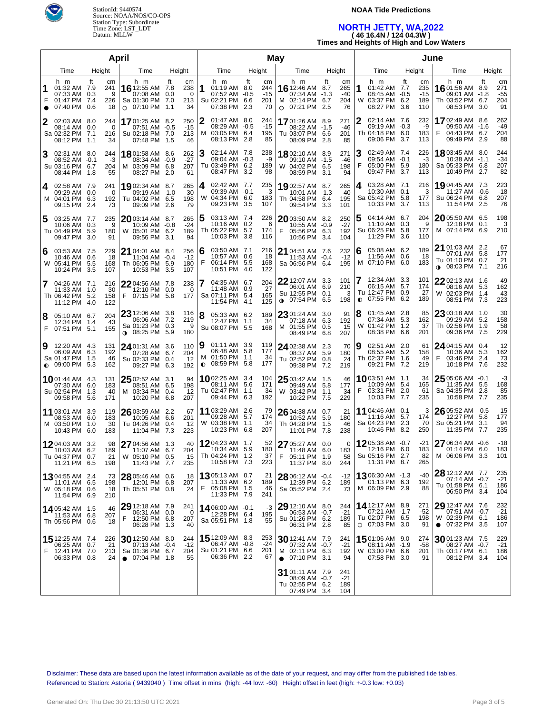

### **NOAA Tide Predictions**

## **NORTH JETTY, WA,2022 ( 46 16.4N / 124 04.3W )**

**Times and Heights of High and Low Waters**

|                        |                                                                          |                                                        | April                                                                            | May                                      |        |                                                                            |           |                                 |                                                                                    |                   |                                 |        |                                                                             |           |                                  |                                                                                |           |                                 |
|------------------------|--------------------------------------------------------------------------|--------------------------------------------------------|----------------------------------------------------------------------------------|------------------------------------------|--------|----------------------------------------------------------------------------|-----------|---------------------------------|------------------------------------------------------------------------------------|-------------------|---------------------------------|--------|-----------------------------------------------------------------------------|-----------|----------------------------------|--------------------------------------------------------------------------------|-----------|---------------------------------|
| Height<br>Time<br>Time |                                                                          | Height                                                 |                                                                                  | Time                                     | Height |                                                                            | Time      | Height                          |                                                                                    |                   | Time                            |        | Height                                                                      | Time      |                                  | Height                                                                         |           |                                 |
| 1<br>F                 | h m<br>01:32 AM 7.9<br>07:33 AM<br>01:47 PM<br>07:40 PM                  | ft<br>cm<br>241<br>9<br>0.3<br>226<br>7.4<br>0.6<br>18 | h m<br>16 12:55 AM 7.8<br>07:08 AM 0.0<br>Sa 01:30 PM 7.0<br>$\circ$ 07:10 PM    | ft<br>cm<br>238<br>0<br>213<br>34<br>1.1 | 1      | h m<br>01:19 AM 8.0<br>07:52 AM -0.5<br>Su 02:21 PM 6.6<br>07:38 PM        | ft<br>2.3 | cm<br>244<br>$-15$<br>201<br>70 | h m<br><b>16</b> 12:46 AM<br>07:34 AM -1.3<br>M 02:14 PM 6.7<br>$\circ$ 07:21 PM   | ft<br>8.7<br>-2.5 | cm<br>265<br>$-40$<br>204<br>76 | 1<br>W | h m<br>01:42 AM 7.7<br>08:45 AM -0.5<br>03:37 PM 6.2<br>08:27 PM            | ft<br>3.6 | cm<br>235<br>$-15$<br>189<br>110 | h m<br>16 01:56 AM<br>09:01 AM -1.8<br>Th 03:52 PM 6.7<br>08:53 PM 3.0         | Ħ.<br>8.9 | cm<br>271<br>$-55$<br>204<br>91 |
| 2                      | 02:03 AM 8.0<br>08:14 AM<br>Sa 02:32 PM<br>08:12 PM 1.1                  | 244<br>0.0<br>0<br>7.1<br>216<br>34                    | 1701:25 AM 8.2<br>07:51 AM -0.5<br>Su 02:18 PM 7.0<br>07:48 PM 1.5               | 250<br>$-15$<br>213<br>46                | 2      | 01:47 AM 8.0<br>08:29 AM -0.5<br>M 03:05 PM 6.4<br>08:13 PM 2.8            |           | 244<br>$-15$<br>195<br>85       | 17 01:26 AM 8.9<br>08:22 AM -1.5<br>Tu 03:07 PM 6.6<br>08:09 PM 2.8                |                   | 271<br>-46<br>201<br>85         | 2      | 02:14 AM 7.6<br>09:19 AM -0.3<br>Th 04:18 PM 6.0<br>09:06 PM 3.7            |           | 232<br>-9<br>183<br>113          | 17 02:49 AM 8.6<br>09:50 AM -1.6<br>04:43 PM 6.7<br>F<br>09:49 PM 2.9          |           | 262<br>$-49$<br>204<br>88       |
| 3                      | 02:31 AM 8.0<br>08:52 AM -0.1<br>Su 03:16 PM<br>08:44 PM 1.8             | 244<br>-3<br>204<br>6.7<br>55                          | 18 01:58 AM 8.6<br>08:34 AM -0.9<br>M 03:09 PM 6.8<br>08:27 PM 2.0               | 262<br>$-27$<br>207<br>61                |        | 02:14 AM 7.8<br>09:04 AM -0.3<br>Tu 03:49 PM 6.2<br>08:47 PM 3.2           |           | 238<br>-9<br>189<br>98          | 1802:10 AM 8.9<br>09:10 AM -1.5<br>W 04:02 PM 6.5<br>08:59 PM 3.1                  |                   | 271<br>-46<br>198<br>94         | 3<br>F | 02:49 AM 7.4<br>09:54 AM -0.1<br>05:00 PM 5.9<br>09:47 PM                   | -3.7      | 226<br>-3<br>180<br>113          | <b>18</b> 03:45 AM 8.0<br>$10:38$ AM $-1.1$<br>Sa 05:33 PM 6.8<br>10:49 PM 2.7 |           | 244<br>$-34$<br>207<br>82       |
| 4                      | 02:58 AM 7.9<br>09:29 AM 0.0<br>M 04:01 PM<br>09:15 PM 2.4               | 241<br>0<br>6.3<br>192<br>73                           | 1902:34 AM 8.7<br>09:19 AM -1.0<br>Tu 04:02 PM 6.5<br>09:09 PM 2.6               | 265<br>$-30$<br>198<br>79                | 4      | 02:42 AM 7.7<br>09:39 AM -0.1<br>W 04:34 PM 6.0<br>09:23 PM 3.5            |           | 235<br>-3<br>183<br>107         | 1902:57 AM 8.7<br>10:01 AM -1.3<br>Th 04:58 PM 6.4<br>09:54 PM 3.3                 |                   | 265<br>-40<br>195<br>101        | 4      | 03:28 AM 7.1<br>10:30 AM 0.1<br>Sa 05:42 PM 5.8<br>10:33 PM                 | 3.7       | 216<br>З<br>177<br>113           | 1904:45 AM 7.3<br>11:27 AM -0.6<br>Su 06:24 PM 6.8<br>11:54 PM 2.5             |           | 223<br>$-18$<br>207<br>76       |
| 5                      | 03:25 AM 7.7<br>10:06 AM<br>Tu 04:49 PM<br>09:47 PM 3.0                  | 235<br>0.3<br>9<br>5.9<br>180<br>91                    | 2003:14 AM 8.7<br>10:09 AM -0.8<br>W 05:01 PM 6.2<br>09:56 PM 3.1                | 265<br>$-24$<br>189<br>94                | 5      | 03:13 AM 7.4<br>10:16 AM 0.2<br>Th 05:22 PM 5.7<br>10:03 PM 3.8            |           | 226<br>6<br>174<br>116          | 2003:50 AM 8.2<br>10:55 AM -0.9<br>F<br>05:56 PM 6.3<br>10:56 PM 3.4               |                   | 250<br>$-27$<br>192<br>104      | 5      | 04:14 AM 6.7<br>11:10 AM 0.3<br>Su 06:25 PM 5.8<br>11:29 PM 3.6             |           | 204<br>9<br>177<br>110           | 2005:50 AM 6.5<br>12:18 PM 0.1<br>M 07:14 PM 6.9                               |           | 198<br>3<br>210                 |
| 6                      | 03:53 AM 7.5<br>10:46 AM<br>W 05:41 PM<br>10:24 PM 3.5                   | 229<br>0.6<br>18<br>5.5<br>168<br>107                  | 21 04:01 AM 8.4<br>11:04 AM -0.4<br>Th 06:05 PM 5.9<br>10:53 PM 3.5              | 256<br>$-12$<br>180<br>107               | 6<br>F | 03:50 AM 7.1<br>10:57 AM 0.6<br>06:14 PM 5.5<br>10:51 PM 4.0               |           | 216<br>18<br>168<br>122         | 21 04:51 AM 7.6<br>11:53 AM -0.4<br>Sa 06:56 PM 6.4                                |                   | 232<br>$-12$<br>195             | 6<br>M | 05:08 AM 6.2<br>11:56 AM 0.6<br>07:10 PM 6.0                                |           | 189<br>18<br>183                 | 21 01:03 AM 2.2<br>07:01 AM 5.8<br>Tu 01:10 PM 0.7<br>$\bullet$ 08:03 PM 7.1   |           | 67<br>177<br>21<br>216          |
| $\overline{7}$         | 04:26 AM 7.1<br>11:33 AM 1.0<br>Th 06:42 PM<br>11:12 PM 4.0              | 216<br>30<br>5.2<br>158<br>122                         | 22 04:56 AM 7.8<br>12:10 PM 0.0<br>07:15 PM 5.8<br>F                             | 238<br>0<br>177                          |        | 04:35 AM 6.7<br>11:48 AM 0.9<br>Sa 07:11 PM 5.4<br>11:54 PM 4.1            |           | 204<br>27<br>165<br>125         | $22$ 12:07 AM $\,$ 3.3 $\,$<br>06:01 AM 6.9<br>Su 12:55 PM 0.1<br>$0$ 07:54 PM 6.5 |                   | 101<br>210<br>3<br>198          | 7      | 12:34 AM 3.3<br>06:15 AM 5.7<br>Tu 12:47 PM 0.9<br>$\bullet$ 07:55 PM 6.2   |           | 101<br>174<br>27<br>189          | $2202:13$ AM $1.6$<br>08:16 AM 5.3<br>W 02:03 PM 1.4<br>08:51 PM 7.3           |           | 49<br>162<br>43<br>223          |
| 8                      | 05:10 AM 6.7<br>12:34 PM<br>F 07:51 PM 5.1                               | 204<br>43<br>1.4<br>155                                | $23$ 12:06 AM 3.8<br>06:06 AM 7.2<br>Sa 01:23 PM 0.3<br>$0.08:25$ PM 5.9         | 116<br>219<br>9<br>180                   | 8      | 05:33 AM 6.2<br>12:47 PM 1.1<br>Su 08:07 PM 5.5                            |           | 189<br>34<br>168                | 2301:24 AM 3.0<br>07:18 AM 6.3<br>M 01:55 PM 0.5<br>08:49 PM                       | 6.8               | 91<br>192<br>15<br>207          | W      | 01:45 AM 2.8<br>07:34 AM 5.3<br>01:42 PM<br>08:38 PM 6.6                    | 1.2       | 85<br>162<br>37<br>201           | $2303:18$ AM $1.0$<br>09:29 AM 5.2<br>Th 02:56 PM 1.9<br>09:36 PM 7.5          |           | 30<br>158<br>58<br>229          |
| 9                      | 12:20 AM 4.3<br>06:09 AM 6.3<br>Sa 01:47 PM<br>$\bullet$ 09:00 PM 5.3    | 131<br>192<br>- 1.5<br>46<br>162                       | 24 01:31 AM 3.6<br>07:28 AM 6.7<br>Su 02:33 PM 0.4<br>09:27 PM 6.3               | 110<br>204<br>12<br>192                  | 9      | $01:11$ AM $3.9$<br>06:48 AM 5.8<br>M 01:50 PM 1.1<br>$0$ 08:59 PM 5.8     |           | 119<br>177<br>34<br>177         | 24 02:38 AM 2.3<br>08:37 AM 5.9<br>Tu 02:52 PM 0.8<br>09:38 PM                     | 7.2               | 70<br>180<br>24<br>219          | 9      | 02:51 AM 2.0<br>08:55 AM 5.2<br>Th 02:37 PM<br>09:21 PM 7.2                 | 1.6       | 61<br>158<br>49<br>219           | $2404:15$ AM $0.4$<br>10:36 AM 5.3<br>F<br>03:46 PM 2.4<br>10:18 PM 7.6        |           | 12<br>162<br>73<br>232          |
|                        | 1001:44 AM 4.3<br>07:30 AM<br>Su 02:54 PM 1.3<br>09:58 PM                | 131<br>6.0<br>183<br>40<br>5.6<br>171                  | $25$ 02:52 AM 3.1<br>08:51 AM 6.5<br>M 03:34 PM 0.4<br>10:20 PM 6.8              | 94<br>198<br>12<br>207                   |        | <b>10</b> 02:25 AM 3.4<br>08:11 AM 5.6<br>Tu 02:47 PM 1.1<br>09:44 PM 6.3  |           | 104<br>171<br>34<br>192         | $25$ 03:42 AM 1.5<br>09:49 AM 5.8<br>W 03:42 PM 1.1<br>10:22 PM 7.5                |                   | 46<br>177<br>34<br>229          | F      | <b>10</b> 03:51 AM 1.1<br>10:09 AM 5.4<br>03:31 PM<br>10:03 PM 7.7          | 2.0       | 34<br>165<br>61<br>235           | $2505:06$ AM $-0.1$<br>11:35 AM 5.5<br>Sa 04:35 PM 2.8<br>10:58 PM 7.7         |           | -3<br>168<br>85<br>235          |
|                        | 11 03:01 AM 3.9<br>08:53 AM<br>M 03:50 PM 1.0<br>10:43 PM                | 119<br>6.0<br>183<br>30<br>6.0<br>183                  | 26 03:59 AM 2.2<br>10:05 AM 6.6<br>Tu 04:26 PM 0.4<br>11:04 PM                   | 67<br>201<br>12<br>7.3<br>223            |        | 11 03:29 AM 2.6<br>09:28 AM 5.7<br>W 03:38 PM 1.1<br>10:23 PM 6.8          |           | 79<br>174<br>34<br>207          | $2604:38$ AM 0.7<br>10:52 AM 5.9<br>Th 04:28 PM 1.5<br>11:01 PM 7.8                |                   | 21<br>180<br>46<br>238          |        | 11 04:46 AM 0.1<br>11:16 AM 5.7<br>Sa 04:23 PM 2.3<br>10:46 PM 8.2          |           | 3<br>174<br>70<br>250            | $2605:52$ AM $-0.5$<br>12:27 PM 5.8<br>Su 05:21 PM 3.1<br>11:35 PM 7.7         |           | $-15$<br>177<br>94<br>235       |
|                        | 12 04:03 AM 3.2<br>10:03 AM<br>Tu 04:37 PM 0.7<br>11:21 PM 6.5           | 98<br>6.2<br>189<br>21<br>198                          | 27 04:56 AM 1.3<br>11:07 AM 6.7<br>W 05:10 PM 0.5<br>11:43 PM 7.7                | 40<br>204<br>- 15<br>235                 |        | <b>12</b> 04:23 AM 1.7<br>10:34 AM 5.9<br>Th 04:24 PM 1.2<br>10:58 PM 7.3  |           | 52<br>180<br>37<br>223          | 27 05:27 AM 0.0<br>11:48 AM 6.0<br>E<br>05:11 PM 1.9<br>11:37 PM 8.0               |                   | 0<br>183<br>58<br>244           |        | 1205:38 AM -0.7<br>12:16 PM 6.0<br>Su 05:16 PM 2.7<br>11:31 PM 8.7          |           | $-21$<br>183<br>82<br>265        | 27 06:34 AM -0.6<br>01:14 PM 6.0<br>M 06:06 PM 3.3                             |           | $-18$<br>183<br>101             |
|                        | 1304:55 AM 2.4<br>11:01 AM 6.5<br>W 05:18 PM 0.6<br>11:54 PM 6.9         | 73<br>198<br>18<br>210                                 | 28 05:46 AM 0.6<br>12:01 PM 6.8<br>Th 05:51 PM 0.8                               | 18<br>207<br>24                          | F      | <b>13</b> 05:13 AM 0.7<br>11:33 AM 6.2<br>05:08 PM 1.5<br>11:33 PM 7.9     |           | 21<br>189<br>46<br>241          | 28 06:12 AM -0.4<br>12:39 PM 6.2<br>Sa 05:52 PM 2.4                                |                   | $-12$<br>189<br>73              |        | 1306:30 AM -1.3<br>01:13 PM 6.3<br>M 06:09 PM 2.9                           |           | $-40$<br>192<br>88               | 28 12:12 AM 7.7<br>07:14 AM -0.7<br>Tu 01:58 PM 6.1<br>06:50 PM 3.4            |           | 235<br>$-21$<br>186<br>104      |
|                        | 14 05:42 AM 1.5<br>11:53 AM 6.8<br>Th 05:56 PM 0.6                       | 46<br>207<br>18                                        | $29$ 12:18 AM $\,$ 7.9 $\,$<br>06:31 AM 0.0<br>F<br>12:50 PM 6.8<br>06:28 PM 1.3 | 241<br>0<br>207<br>40                    |        | 14 06:00 AM -0.1<br>12:28 PM 6.4<br>Sa 05:51 PM 1.8                        |           | -3<br>195<br>55                 | 29 12:10 AM 8.0<br>06:53 AM -0.7<br>Su 01:26 PM 6.2<br>06:31 PM 2.8                |                   | 244<br>$-21$<br>189<br>85       |        | 14 12:17 AM 8.9<br>07:21 AM -1.7<br>Tu 02:07 PM 6.5<br>$\circ$ 07:03 PM 3.0 |           | 271<br>-52<br>198<br>91          | 29 12:47 AM 7.6<br>07:51 AM -0.7<br>W 02:39 PM 6.1<br>$\bullet$ 07:32 PM 3.5   |           | 232<br>$-21$<br>186<br>107      |
|                        | <b>15</b> 12:25 AM 7.4<br>06:25 AM 0.7<br>F 12:41 PM 7.0<br>06:33 PM 0.8 | 226<br>21<br>213<br>24                                 | $30$ 12:50 AM 8.0<br>07:13 AM -0.4<br>Sa 01:36 PM 6.7<br>$\bullet$ 07:04 PM 1.8  | 244<br>$-12$<br>204<br>55                |        | <b>15</b> 12:09 AM 8.3<br>06:47 AM -0.8<br>Su 01:21 PM 6.6<br>06:36 PM 2.2 |           | 253<br>$-24$<br>201<br>67       | $30$ 12:41 AM 7.9<br>07:32 AM -0.7<br>M 02:11 PM 6.3<br>$\bullet$ 07:10 PM 3.1     |                   | 241<br>$-21$<br>192<br>94       |        | 1501:06 AM 9.0<br>08:11 AM -1.9<br>W 03:00 PM 6.6<br>07:58 PM 3.0           |           | 274<br>-58<br>201<br>91          | 3001:23 AM 7.5<br>08:27 AM -0.7<br>Th 03:17 PM 6.1<br>08:12 PM 3.4             |           | 229<br>$-21$<br>186<br>104      |
|                        |                                                                          |                                                        |                                                                                  |                                          |        |                                                                            |           |                                 | 31 01:11 AM 7.9<br>08:09 AM -0.7<br>Tu 02:55 PM 6.2<br>07:49 PM 3.4                |                   | 241<br>$-21$<br>189<br>104      |        |                                                                             |           |                                  |                                                                                |           |                                 |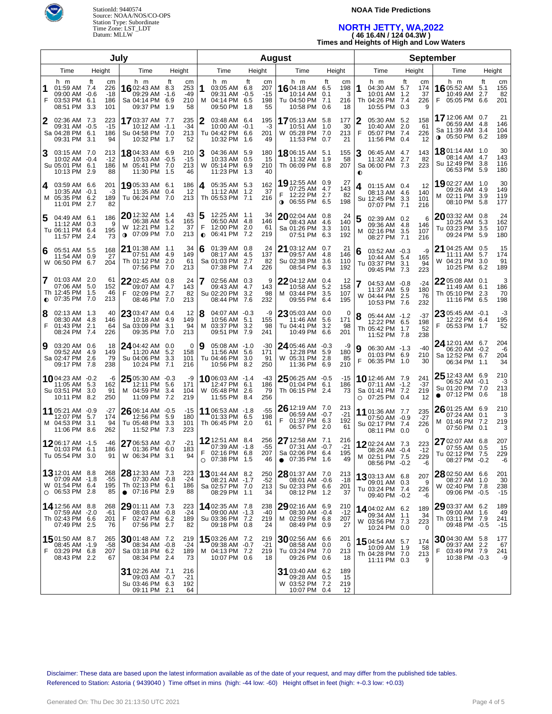

#### **NOAA Tide Predictions**

## **NORTH JETTY, WA,2022 ( 46 16.4N / 124 04.3W )**

**Times and Heights of High and Low Waters**

| July           |                                                                        |               |                                |                                                                                                     |      |                               |                                                                                |      |                                 | <b>August</b>                                                                    |                   |                             |                                                                         |                                                 |                                                                               |                  |                           |
|----------------|------------------------------------------------------------------------|---------------|--------------------------------|-----------------------------------------------------------------------------------------------------|------|-------------------------------|--------------------------------------------------------------------------------|------|---------------------------------|----------------------------------------------------------------------------------|-------------------|-----------------------------|-------------------------------------------------------------------------|-------------------------------------------------|-------------------------------------------------------------------------------|------------------|---------------------------|
| Time<br>Height |                                                                        | Time          | Height                         |                                                                                                     | Time | Height                        |                                                                                | Time | Height                          |                                                                                  | Time              | Height                      | Time                                                                    | Height                                          |                                                                               |                  |                           |
| 1<br>F         | h m<br>01:59 AM 7.4<br>09:00 AM -0.6<br>03:53 PM<br>08:51 PM 3.3       | ft<br>6.1     | cm<br>226<br>-18<br>186<br>101 | h m<br>16 02:43 AM 8.3<br>09:29 AM -1.6<br>Sa 04:14 PM 6.9<br>09:37 PM 1.9                          | ft   | cm<br>253<br>-49<br>210<br>58 | h m<br>1<br>03:05 AM 6.8<br>09:31 AM -0.5<br>M 04:14 PM 6.5<br>09:50 PM 1.8    | ft   | cm<br>207<br>$-15$<br>198<br>55 | h m<br>16 04:18 AM 6.5<br>10:14 AM<br>Tu 04:50 PM 7.1<br>10:58 PM 0.6            | ft<br>0.1         | cm<br>198<br>3<br>216<br>18 | h m<br>1<br>04:30 AM 5.7<br>10:01 AM<br>Th 04:26 PM<br>10:55 PM 0.3     | ft<br>cm<br>174<br>37<br>1.2<br>7.4<br>226<br>9 | h m<br><b>16</b> 05:52 AM<br>10:49 AM<br>05:05 PM 6.6<br>F                    | ft<br>5.1<br>2.7 | cm<br>155<br>82<br>201    |
| 2              | 02:36 AM 7.3<br>09:31 AM -0.5<br>Sa 04:28 PM<br>09:31 PM 3.1           | 6.1           | 223<br>$-15$<br>186<br>94      | 1703:37 AM 7.7<br>10:12 AM -1.1<br>Su 04:58 PM 7.0<br>10:32 PM 1.7                                  |      | 235<br>$-34$<br>213<br>52     | 2<br>03:48 AM 6.4<br>$10:00$ AM $-0.1$<br>Tu 04:42 PM 6.6<br>10:32 PM 1.6      |      | 195<br>-3<br>201<br>49          | <b>17</b> 05:13 AM<br>10:51 AM<br>W 05:28 PM 7.0<br>11:53 PM 0.7                 | 5.8<br>1.0        | 177<br>30<br>213<br>21      | 2<br>05:30 AM 5.2<br>10:40 AM 2.0<br>F<br>05:07 PM 7.4<br>11:56 PM 0.4  | 158<br>61<br>226<br>12                          | 17 12:06 AM 0.7<br>06:59 AM 4.8<br>Sa 11:39 AM 3.4<br><b>0</b> 05:50 PM 6.2   |                  | 21<br>146<br>104<br>189   |
|                | 03:15 AM 7.0<br>10:02 AM -0.4<br>Su 05:01 PM 6.1<br>10:13 PM 2.9       |               | 213<br>$-12$<br>186<br>88      | 18.04:33 AM 6.9<br>10:53 AM -0.5<br>M 05:41 PM 7.0<br>11:30 PM 1.5                                  |      | 210<br>$-15$<br>213<br>46     | 3<br>04:36 AM 5.9<br>10:33 AM 0.5<br>W 05:14 PM 6.9<br>11:23 PM 1.3            |      | 180<br>15<br>210<br>40          | <b>18</b> 06:15 AM<br>11:32 AM<br>Th 06:09 PM                                    | 5.1<br>1.9<br>6.8 | 155<br>58<br>207            | 3<br>06:45 AM 4.7<br>11:32 AM 2.7<br>Sa 06:00 PM 7.3<br>$\bullet$       | 143<br>82<br>223                                | <b>18</b> 01:14 AM 1.0<br>08:14 AM 4.7<br>Su 12:49 PM 3.8<br>06:53 PM 5.9     |                  | 30<br>143<br>116<br>180   |
| 4              | 03:59 AM 6.6<br>10:35 AM -0.1<br>M 05:35 PM 6.2<br>11:01 PM 2.7        |               | 201<br>-3<br>189<br>82         | 19,05:33 AM 6.1<br>11:35 AM 0.4<br>Tu 06:24 PM 7.0                                                  |      | 186<br>12<br>213              | 4<br>05:35 AM 5.3<br>11:12 AM 1.2<br>Th 05:53 PM 7.1                           |      | 162<br>37<br>216                | 19 12:55 AM 0.9<br>07:25 AM 4.7<br>F<br>12:22 PM 2.7<br>$0.06:55 \text{ PM}$ 6.5 |                   | 27<br>143<br>82<br>198      | 01:15 AM 0.4<br>4<br>08:13 AM 4.6<br>Su 12:45 PM 3.3<br>07:07 PM 7.1    | 12<br>140<br>101<br>216                         | 1902:27 AM 1.0<br>09:26 AM 4.9<br>M 02:11 PM 3.9<br>08:10 PM 5.8              |                  | 30<br>149<br>119<br>177   |
|                | 04:49 AM 6.1<br>11:12 AM 0.3<br>Tu 06:11 PM 6.4<br>11:57 PM 2.4        |               | 186<br>9<br>195<br>73          | 20 12:32 AM 1.4<br>06:38 AM 5.4<br>W 12:21 PM 1.2<br>07:09 PM 7.0<br>$\bullet$                      |      | 43<br>165<br>37<br>213        | 12:25 AM 1.1<br>06:50 AM 4.8<br>F<br>12:00 PM 2.0<br>06:41 PM 7.2<br>$\bullet$ |      | 34<br>146<br>61<br>219          | 2002:04 AM 0.8<br>08:43 AM<br>Sa 01:26 PM<br>07:51 PM                            | 4.6<br>3.3<br>6.3 | 24<br>140<br>101<br>192     | 02:39 AM 0.2<br>5<br>09:36 AM 4.8<br>02:16 PM 3.5<br>м<br>08:27 PM 7.1  | 6<br>146<br>107<br>216                          | 2003:32 AM 0.8<br>10:25 AM 5.3<br>Tu 03:23 PM 3.5<br>09:24 PM 5.9             |                  | 24<br>162<br>107<br>180   |
| 6              | 05:51 AM 5.5<br>11:54 AM<br>W 06:50 PM                                 | 0.9<br>6.7    | 168<br>27<br>204               | $21$ 01:38 AM $\,$ 1.1<br>07:51 AM 4.9<br>Th 01:12 PM 2.0<br>07:56 PM 7.0                           |      | 34<br>149<br>61<br>213        | 6<br>$01:39$ AM $0.8$<br>08:17 AM 4.5<br>Sa 01:03 PM 2.7<br>07:38 PM 7.4       |      | 24<br>137<br>82<br>226          | 21 03:12 AM 0.7<br>09:57 AM<br>Su 02:38 PM<br>08:54 PM                           | 4.8<br>3.6<br>6.3 | 21<br>146<br>110<br>192     | 03:52 AM -0.3<br>6<br>10:44 AM 5.4<br>Tu 03:37 PM 3.1<br>09:45 PM 7.3   | -9<br>165<br>94<br>223                          | 21 04:25 AM 0.5<br>11:11 AM 5.7<br>W 04:21 PM 3.0<br>10:25 PM 6.2             |                  | 15<br>174<br>91<br>189    |
|                | 01:03 AM 2.0<br>07:06 AM<br>Th 12:45 PM<br>$Q$ 07:35 PM 7.0            | -5.0<br>- 1.5 | 61<br>152<br>46<br>213         | <b>22</b> 02:45 AM 0.8<br>09:07 AM 4.7<br>F<br>02:09 PM 2.7<br>08:46 PM 7.0                         |      | 24<br>143<br>82<br>213        | 02:56 AM 0.3<br>09:43 AM 4.7<br>Su 02:20 PM 3.2<br>08:44 PM                    | 7.6  | 9<br>143<br>98<br>232           | <b>22</b> 04:12 AM 0.4<br>10:58 AM<br>M 03:44 PM<br>09:55 PM                     | 5.2<br>3.5<br>6.4 | 12<br>158<br>107<br>195     | 7<br>04:53 AM -0.8<br>11:37 AM 5.9<br>W 04:44 PM 2.5<br>10:53 PM 7.6    | $-24$<br>180<br>76<br>232                       | 22 05:08 AM 0.1<br>11:49 AM 6.1<br>Th 05:10 PM 2.3<br>11:16 PM 6.5            |                  | 3<br>186<br>70<br>198     |
| 8<br>F         | 02:13 AM 1.3<br>08:30 AM 4.8<br>01:43 PM 2.1<br>08:24 PM 7.4           |               | 40<br>146<br>64<br>226         | $2303:47$ AM 0.4<br>10:18 AM 4.9<br>Sa 03:09 PM 3.1<br>09:35 PM 7.0                                 |      | 12<br>149<br>94<br>213        | 8<br>04:07 AM -0.3<br>10:56 AM 5.1<br>м<br>03:37 PM 3.2<br>09:51 PM            | 7.9  | -9<br>155<br>98<br>241          | 23 05:03 AM 0.0<br>11:46 AM<br>Tu 04:41 PM<br>10:49 PM 6.6                       | 5.6<br>3.2        | 0<br>171<br>98<br>201       | 8<br>05:44 AM -1.2<br>12:22 PM 6.5<br>Th 05:42 PM 1.7<br>11:52 PM 7.8   | $-37$<br>198<br>52<br>238                       | 23 05:45 AM -0.1<br>12:22 PM 6.4<br>F<br>05:53 PM 1.7                         |                  | -3<br>195<br>52           |
| 9              | 03:20 AM 0.6<br>09:52 AM<br>Sa 02:47 PM 2.6<br>09:17 PM 7.8            | - 4.9         | 18<br>149<br>79<br>238         | $24$ 04:42 AM 0.0<br>11:20 AM 5.2<br>Su 04:06 PM 3.3<br>10:24 PM 7.1                                |      | 0<br>158<br>101<br>216        | 9<br>$05:08$ AM $-1.0$<br>11:56 AM 5.6<br>Tu 04:46 PM 3.0<br>10:56 PM          | 8.2  | $-30$<br>171<br>91<br>250       | 24 05:46 AM -0.3<br>12:28 PM<br>W 05:31 PM 2.8<br>11:36 PM 6.9                   | 5.9               | -9<br>180<br>85<br>210      | 9<br>06:30 AM -1.3<br>01:03 PM 6.9<br>F<br>06:35 PM 1.0                 | $-40$<br>210<br>30                              | 24 12:01 AM 6.7<br>06:20 AM -0.2<br>Sa 12:52 PM 6.7<br>06:34 PM 1.1           |                  | 204<br>-6<br>204<br>34    |
|                | 1004:23 AM -0.2<br>11:05 AM<br>Su 03:51 PM 3.0<br>10:11 PM             | 5.3<br>8.2    | -6<br>162<br>91<br>250         | $25\frac{05:30 \text{ AM} - 0.3}{0.3 \text{ AM}}$<br>12:11 PM 5.6<br>M 04:59 PM 3.4<br>11:09 PM 7.2 |      | -9<br>171<br>104<br>219       | <b>10</b> 06:03 AM $-1.4$<br>12:47 PM 6.1<br>W 05:48 PM 2.6<br>11:55 PM 8.4    |      | -43<br>186<br>79<br>256         | 25 06:25 AM -0.5<br>01:04 PM 6.1<br>Th 06:15 PM 2.4                              |                   | $-15$<br>186<br>73          | 10 12:46 AM 7.9<br>07:11 AM -1.2<br>Sa 01:41 PM 7.2<br>$O$ 07:25 PM 0.4 | 241<br>$-37$<br>219<br>12                       | 25 12:43 AM 6.9<br>06:52 AM -0.1<br>Su 01:20 PM 7.0<br>$\bullet$ 07:12 PM 0.6 |                  | 210<br>-3<br>213<br>18    |
|                | 11 05:21 AM -0.9<br>12:07 PM<br>M 04:53 PM 3.1<br>11:06 PM             | - 5.7<br>8.6  | -27<br>174<br>94<br>262        | $2606:14$ AM $-0.5$<br>12:56 PM 5.9<br>Tu 05:48 PM 3.3<br>11:52 PM 7.3                              |      | -15<br>180<br>101<br>223      | 11 06:53 AM -1.8<br>01:33 PM 6.5<br>Th 06:45 PM 2.0                            |      | -55<br>198<br>61                | $2612:19$ AM $7.0$<br>06:59 AM -0.7<br>F<br>01:37 PM 6.3<br>06:57 PM 2.0         |                   | 213<br>$-21$<br>192<br>61   | 11 01:36 AM 7.7<br>07:50 AM -0.9<br>Su 02:17 PM 7.4<br>08:11 PM 0.0     | 235<br>$-27$<br>226<br>0                        | 26 01:25 AM 6.9<br>07:24 AM 0.1<br>M 01:46 PM 7.2<br>07:50 PM 0.1             |                  | 210<br>3<br>219<br>3      |
|                | 1206:17 AM -1.5<br>01:03 PM<br>Tu 05:54 PM 3.0                         | 6.1           | -46<br>186<br>91               | $2706:53$ AM $-0.7$<br>01:36 PM 6.0<br>W 06:34 PM 3.1                                               |      | $-21$<br>183<br>94            | 12 12:51 AM 8.4<br>07:39 AM -1.8<br>F 02:16 PM 6.8<br>$O$ 07:38 PM 1.5         |      | 256<br>$-55$<br>207<br>46       | 27 12:58 AM 7.1<br>07:31 AM -0.7<br>Sa 02:06 PM 6.4<br>07:35 PM 1.6<br>$\bullet$ |                   | 216<br>$-21$<br>195<br>49   | 1202:24 AM 7.3<br>08:26 AM -0.4<br>02:51 PM 7.5<br>М<br>08:56 PM -0.2   | 223<br>$-12$<br>229<br>-6                       | 27 02:07 AM 6.8<br>07:55 AM 0.5<br>Tu 02:12 PM<br>08:27 PM -0.2               | 7.5              | 207<br>15<br>229<br>-6    |
|                | 13 12:01 AM 8.8<br>07:09 AM -1.8<br>W 01:54 PM 6.4<br>$O$ 06:53 PM 2.8 |               | 268<br>-55<br>195<br>85        | 28 12:33 AM 7.3<br>07:30 AM -0.8<br>Th 02:13 PM 6.1<br>$\bullet$ 07:16 PM 2.9                       |      | 223<br>$-24$<br>186<br>88     | 1301:44 AM 8.2<br>08:21 AM -1.7<br>Sa 02:57 PM 7.0<br>08:29 PM 1.1             |      | 250<br>-52<br>213<br>34         | 28 01:37 AM 7.0<br>08:01 AM -0.6<br>Su 02:33 PM 6.6<br>08:12 PM 1.2              |                   | 213<br>$-18$<br>201<br>37   | 1303:13 AM 6.8<br>09:01 AM 0.3<br>Tu 03:24 PM 7.4<br>09:40 PM -0.2      | 207<br>9<br>226<br>-6                           | 28 02:50 AM 6.6<br>08:27 AM 1.0<br>W 02:40 PM 7.8<br>09:06 PM -0.5            |                  | 201<br>30<br>238<br>$-15$ |
|                | 14 12:56 AM 8.8<br>07:59 AM -2.0<br>Th 02:43 PM 6.6<br>07:49 PM 2.5    |               | 268<br>-61<br>201<br>76        | 29 01:11 AM 7.3<br>08:03 AM -0.8<br>F<br>02:47 PM 6.2<br>07:56 PM 2.7                               |      | 223<br>$-24$<br>189<br>82     | <b>14</b> 02:35 AM 7.8<br>09:00 AM -1.3<br>Su 03:36 PM 7.2<br>09:18 PM 0.8     |      | 238<br>-40<br>219<br>24         | 29 02:16 AM 6.9<br>08:30 AM -0.4<br>M 02:59 PM 6.8<br>08:49 PM 0.9               |                   | 210<br>$-12$<br>207<br>27   | 14 04:02 AM 6.2<br>09:34 AM 1.1<br>W 03:56 PM 7.3<br>10:24 PM 0.0       | 189<br>34<br>223<br>0                           | 29 03:37 AM 6.2<br>09:00 AM 1.6<br>Th 03:11 PM 7.9<br>09:48 PM -0.5           |                  | 189<br>49<br>241<br>$-15$ |
|                | 1501:50 AM 8.7<br>08:45 AM -1.9<br>F 03:29 PM 6.8<br>08:43 PM 2.2      |               | 265<br>-58<br>207<br>67        | $30$ 01:48 AM 7.2<br>08:34 AM -0.8<br>Sa 03:18 PM 6.2<br>08:34 PM 2.4                               |      | 219<br>-24<br>189<br>73       | <b>15</b> 03:26 AM 7.2<br>09:38 AM -0.7<br>M 04:13 PM 7.2<br>10:07 PM 0.6      |      | 219<br>$-21$<br>219<br>18       | 30 02:56 AM 6.6<br>08:58 AM 0.0<br>Tu 03:24 PM 7.0<br>09:26 PM 0.6               |                   | 201<br>0<br>213<br>18       | 1504:54 AM 5.7<br>10:09 AM 1.9<br>Th 04:28 PM 7.0<br>11:11 PM 0.3       | 174<br>58<br>213<br>9                           | 3004:30 AM 5.8<br>09:37 AM 2.2<br>F<br>03:49 PM 7.9<br>10:38 PM -0.3          |                  | 177<br>67<br>241<br>-9    |
|                |                                                                        |               |                                | 31 02:26 AM 7.1<br>09:03 AM -0.7<br>Su 03:46 PM 6.3<br>09:11 PM 2.1                                 |      | 216<br>$-21$<br>192<br>64     |                                                                                |      |                                 | 31 03:40 AM 6.2<br>09:28 AM 0.5<br>W 03:52 PM 7.2<br>10:07 PM 0.4                |                   | 189<br>15<br>219<br>12      |                                                                         |                                                 |                                                                               |                  |                           |